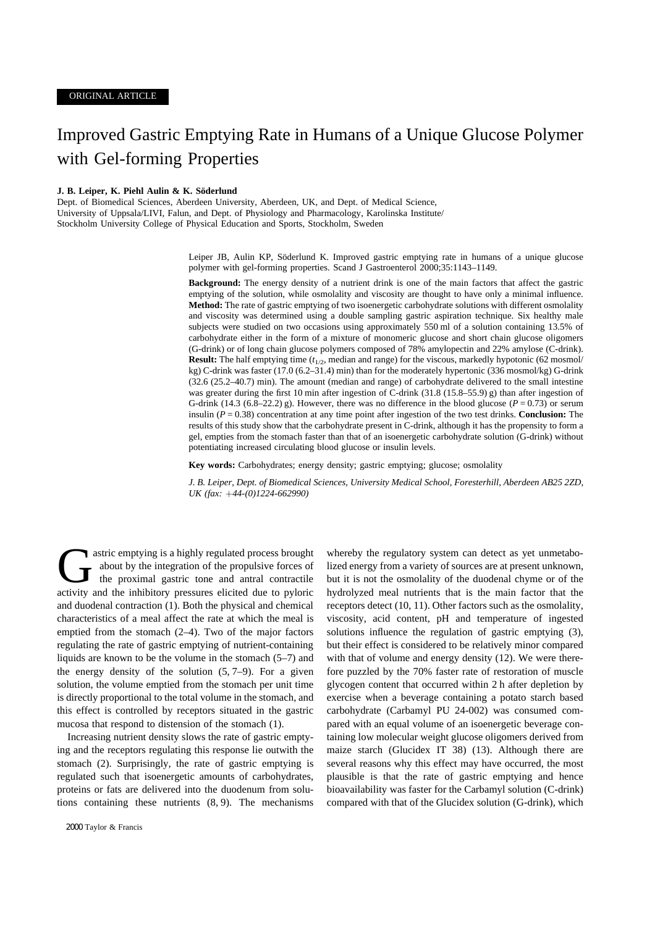# Improved Gastric Emptying Rate in Humans of a Unique Glucose Polymer with Gel-forming Properties

### **J. B. Leiper, K. Piehl Aulin & K. Söderlund**

Dept. of Biomedical Sciences, Aberdeen University, Aberdeen, UK, and Dept. of Medical Science, University of Uppsala/LIVI, Falun, and Dept. of Physiology and Pharmacology, Karolinska Institute/ Stockholm University College of Physical Education and Sports, Stockholm, Sweden

> Leiper JB, Aulin KP, Söderlund K. Improved gastric emptying rate in humans of a unique glucose polymer with gel-forming properties. Scand J Gastroenterol 2000;35:1143–1149.

> **Background:** The energy density of a nutrient drink is one of the main factors that affect the gastric emptying of the solution, while osmolality and viscosity are thought to have only a minimal influence. **Method:** The rate of gastric emptying of two isoenergetic carbohydrate solutions with different osmolality and viscosity was determined using a double sampling gastric aspiration technique. Six healthy male subjects were studied on two occasions using approximately 550 ml of a solution containing 13.5% of carbohydrate either in the form of a mixture of monomeric glucose and short chain glucose oligomers (G-drink) or of long chain glucose polymers composed of 78% amylopectin and 22% amylose (C-drink). **Result:** The half emptying time ( $t_{1/2}$ , median and range) for the viscous, markedly hypotonic (62 mosmol/ kg) C-drink was faster (17.0 (6.2–31.4) min) than for the moderately hypertonic (336 mosmol/kg) G-drink (32.6 (25.2–40.7) min). The amount (median and range) of carbohydrate delivered to the small intestine was greater during the first 10 min after ingestion of C-drink (31.8 (15.8–55.9) g) than after ingestion of G-drink (14.3 (6.8–22.2) g). However, there was no difference in the blood glucose ( $P = 0.73$ ) or serum insulin (*P* = 0.38) concentration at any time point after ingestion of the two test drinks. **Conclusion:** The results of this study show that the carbohydrate present in C-drink, although it has the propensity to form a gel, empties from the stomach faster than that of an isoenergetic carbohydrate solution (G-drink) without potentiating increased circulating blood glucose or insulin levels.

**Key words:** Carbohydrates; energy density; gastric emptying; glucose; osmolality

*J. B. Leiper, Dept. of Biomedical Sciences, University Medical School, Foresterhill, Aberdeen AB25 2ZD, UK (fax: 44-(0)1224-662990)*

astric emptying is a highly regulated process brought about by the integration of the propulsive forces of the proximal gastric tone and antral contractile activity and the inhibitory pressures elicited due to pyloric stric emptying is a highly regulated process brought about by the integration of the propulsive forces of the proximal gastric tone and antral contractile and duodenal contraction (1). Both the physical and chemical characteristics of a meal affect the rate at which the meal is emptied from the stomach (2–4). Two of the major factors regulating the rate of gastric emptying of nutrient-containing liquids are known to be the volume in the stomach  $(5-7)$  and the energy density of the solution  $(5, 7-9)$ . For a given solution, the volume emptied from the stomach per unit time is directly proportional to the total volume in the stomach, and this effect is controlled by receptors situated in the gastric mucosa that respond to distension of the stomach (1).

Increasing nutrient density slows the rate of gastric emptying and the receptors regulating this response lie outwith the stomach (2). Surprisingly, the rate of gastric emptying is regulated such that isoenergetic amounts of carbohydrates, proteins or fats are delivered into the duodenum from solutions containing these nutrients (8, 9). The mechanisms whereby the regulatory system can detect as yet unmetabolized energy from a variety of sources are at present unknown, but it is not the osmolality of the duodenal chyme or of the hydrolyzed meal nutrients that is the main factor that the receptors detect (10, 11). Other factors such as the osmolality, viscosity, acid content, pH and temperature of ingested solutions influence the regulation of gastric emptying (3), but their effect is considered to be relatively minor compared with that of volume and energy density (12). We were therefore puzzled by the 70% faster rate of restoration of muscle glycogen content that occurred within 2 h after depletion by exercise when a beverage containing a potato starch based carbohydrate (Carbamyl PU 24-002) was consumed compared with an equal volume of an isoenergetic beverage containing low molecular weight glucose oligomers derived from maize starch (Glucidex IT 38) (13). Although there are several reasons why this effect may have occurred, the most plausible is that the rate of gastric emptying and hence bioavailability was faster for the Carbamyl solution (C-drink) compared with that of the Glucidex solution (G-drink), which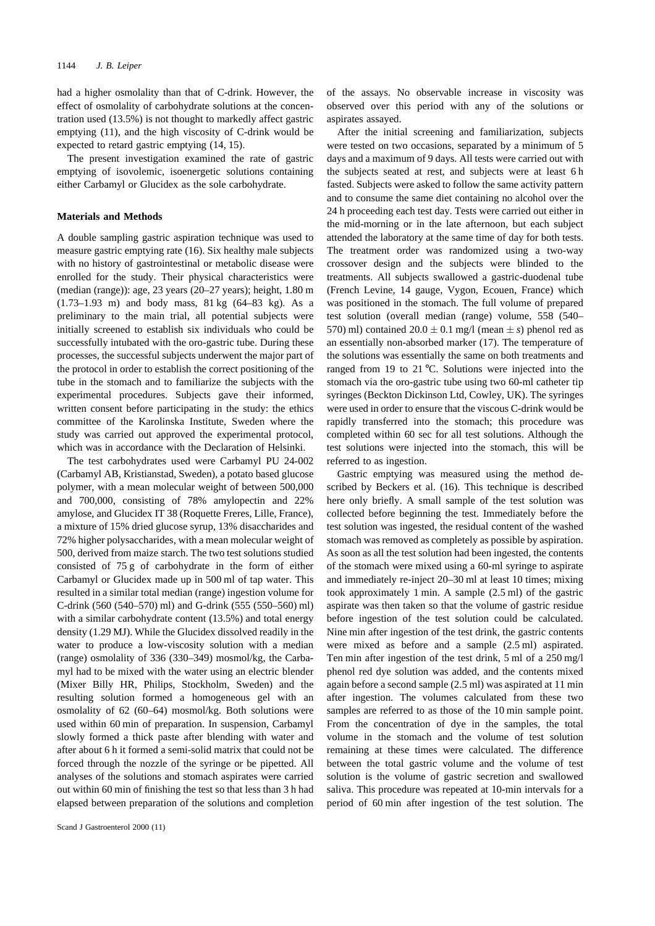had a higher osmolality than that of C-drink. However, the effect of osmolality of carbohydrate solutions at the concentration used (13.5%) is not thought to markedly affect gastric emptying (11), and the high viscosity of C-drink would be expected to retard gastric emptying (14, 15).

The present investigation examined the rate of gastric emptying of isovolemic, isoenergetic solutions containing either Carbamyl or Glucidex as the sole carbohydrate.

# **Materials and Methods**

A double sampling gastric aspiration technique was used to measure gastric emptying rate (16). Six healthy male subjects with no history of gastrointestinal or metabolic disease were enrolled for the study. Their physical characteristics were (median (range)): age, 23 years (20–27 years); height, 1.80 m (1.73–1.93 m) and body mass, 81 kg (64–83 kg). As a preliminary to the main trial, all potential subjects were initially screened to establish six individuals who could be successfully intubated with the oro-gastric tube. During these processes, the successful subjects underwent the major part of the protocol in order to establish the correct positioning of the tube in the stomach and to familiarize the subjects with the experimental procedures. Subjects gave their informed, written consent before participating in the study: the ethics committee of the Karolinska Institute, Sweden where the study was carried out approved the experimental protocol, which was in accordance with the Declaration of Helsinki.

The test carbohydrates used were Carbamyl PU 24-002 (Carbamyl AB, Kristianstad, Sweden), a potato based glucose polymer, with a mean molecular weight of between 500,000 and 700,000, consisting of 78% amylopectin and 22% amylose, and Glucidex IT 38 (Roquette Freres, Lille, France), a mixture of 15% dried glucose syrup, 13% disaccharides and 72% higher polysaccharides, with a mean molecular weight of 500, derived from maize starch. The two test solutions studied consisted of 75 g of carbohydrate in the form of either Carbamyl or Glucidex made up in 500 ml of tap water. This resulted in a similar total median (range) ingestion volume for C-drink (560 (540–570) ml) and G-drink (555 (550–560) ml) with a similar carbohydrate content (13.5%) and total energy density (1.29 MJ). While the Glucidex dissolved readily in the water to produce a low-viscosity solution with a median (range) osmolality of 336 (330–349) mosmol/kg, the Carbamyl had to be mixed with the water using an electric blender (Mixer Billy HR, Philips, Stockholm, Sweden) and the resulting solution formed a homogeneous gel with an osmolality of 62 (60–64) mosmol/kg. Both solutions were used within 60 min of preparation. In suspension, Carbamyl slowly formed a thick paste after blending with water and after about 6 h it formed a semi-solid matrix that could not be forced through the nozzle of the syringe or be pipetted. All analyses of the solutions and stomach aspirates were carried out within 60 min of finishing the test so that less than 3 h had elapsed between preparation of the solutions and completion of the assays. No observable increase in viscosity was observed over this period with any of the solutions or aspirates assayed.

After the initial screening and familiarization, subjects were tested on two occasions, separated by a minimum of 5 days and a maximum of 9 days. All tests were carried out with the subjects seated at rest, and subjects were at least 6 h fasted. Subjects were asked to follow the same activity pattern and to consume the same diet containing no alcohol over the 24 h proceeding each test day. Tests were carried out either in the mid-morning or in the late afternoon, but each subject attended the laboratory at the same time of day for both tests. The treatment order was randomized using a two-way crossover design and the subjects were blinded to the treatments. All subjects swallowed a gastric-duodenal tube (French Levine, 14 gauge, Vygon, Ecouen, France) which was positioned in the stomach. The full volume of prepared test solution (overall median (range) volume, 558 (540– 570) ml) contained  $20.0 \pm 0.1$  mg/l (mean  $\pm s$ ) phenol red as an essentially non-absorbed marker (17). The temperature of the solutions was essentially the same on both treatments and ranged from 19 to 21 °C. Solutions were injected into the stomach via the oro-gastric tube using two 60-ml catheter tip syringes (Beckton Dickinson Ltd, Cowley, UK). The syringes were used in order to ensure that the viscous C-drink would be rapidly transferred into the stomach; this procedure was completed within 60 sec for all test solutions. Although the test solutions were injected into the stomach, this will be referred to as ingestion.

Gastric emptying was measured using the method described by Beckers et al. (16). This technique is described here only briefly. A small sample of the test solution was collected before beginning the test. Immediately before the test solution was ingested, the residual content of the washed stomach was removed as completely as possible by aspiration. As soon as all the test solution had been ingested, the contents of the stomach were mixed using a 60-ml syringe to aspirate and immediately re-inject 20–30 ml at least 10 times; mixing took approximately 1 min. A sample (2.5 ml) of the gastric aspirate was then taken so that the volume of gastric residue before ingestion of the test solution could be calculated. Nine min after ingestion of the test drink, the gastric contents were mixed as before and a sample (2.5 ml) aspirated. Ten min after ingestion of the test drink, 5 ml of a 250 mg/l phenol red dye solution was added, and the contents mixed again before a second sample (2.5 ml) was aspirated at 11 min after ingestion. The volumes calculated from these two samples are referred to as those of the 10 min sample point. From the concentration of dye in the samples, the total volume in the stomach and the volume of test solution remaining at these times were calculated. The difference between the total gastric volume and the volume of test solution is the volume of gastric secretion and swallowed saliva. This procedure was repeated at 10-min intervals for a period of 60 min after ingestion of the test solution. The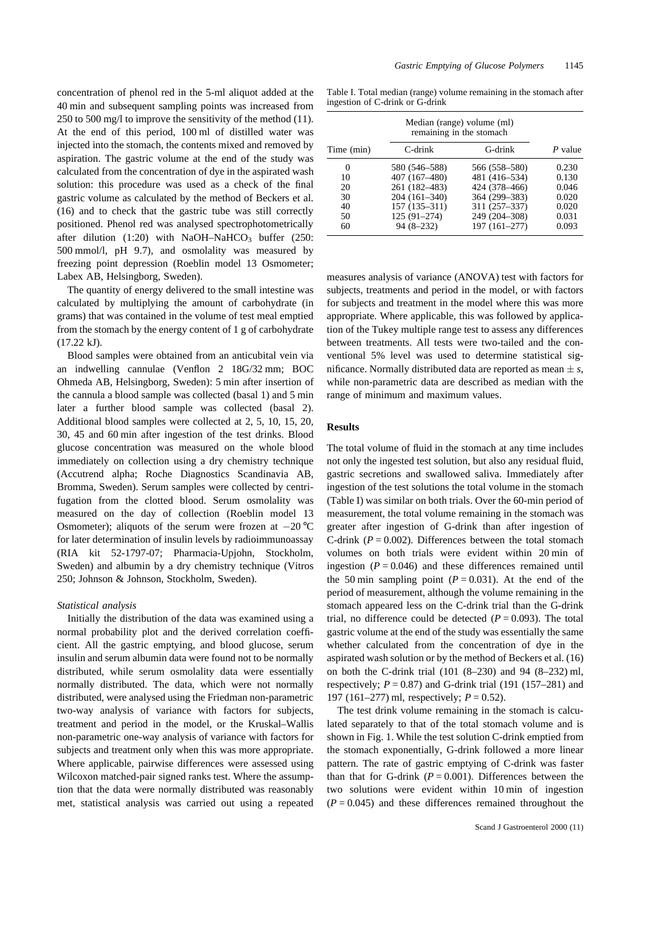concentration of phenol red in the 5-ml aliquot added at the 40 min and subsequent sampling points was increased from 250 to 500 mg/l to improve the sensitivity of the method (11). At the end of this period, 100 ml of distilled water was injected into the stomach, the contents mixed and removed by aspiration. The gastric volume at the end of the study was calculated from the concentration of dye in the aspirated wash solution: this procedure was used as a check of the final gastric volume as calculated by the method of Beckers et al. (16) and to check that the gastric tube was still correctly positioned. Phenol red was analysed spectrophotometrically after dilution  $(1:20)$  with NaOH–NaHCO<sub>3</sub> buffer  $(250)$ : 500 mmol/l, pH 9.7), and osmolality was measured by freezing point depression (Roeblin model 13 Osmometer; Labex AB, Helsingborg, Sweden).

The quantity of energy delivered to the small intestine was calculated by multiplying the amount of carbohydrate (in grams) that was contained in the volume of test meal emptied from the stomach by the energy content of 1 g of carbohydrate (17.22 kJ).

Blood samples were obtained from an anticubital vein via an indwelling cannulae (Venflon 2 18G/32 mm; BOC Ohmeda AB, Helsingborg, Sweden): 5 min after insertion of the cannula a blood sample was collected (basal 1) and 5 min later a further blood sample was collected (basal 2). Additional blood samples were collected at 2, 5, 10, 15, 20, 30, 45 and 60 min after ingestion of the test drinks. Blood glucose concentration was measured on the whole blood immediately on collection using a dry chemistry technique (Accutrend alpha; Roche Diagnostics Scandinavia AB, Bromma, Sweden). Serum samples were collected by centrifugation from the clotted blood. Serum osmolality was measured on the day of collection (Roeblin model 13 Osmometer); aliquots of the serum were frozen at  $-20$  °C for later determination of insulin levels by radioimmunoassay (RIA kit 52-1797-07; Pharmacia-Upjohn, Stockholm, Sweden) and albumin by a dry chemistry technique (Vitros 250; Johnson & Johnson, Stockholm, Sweden).

# *Statistical analysis*

Initially the distribution of the data was examined using a normal probability plot and the derived correlation coefficient. All the gastric emptying, and blood glucose, serum insulin and serum albumin data were found not to be normally distributed, while serum osmolality data were essentially normally distributed. The data, which were not normally distributed, were analysed using the Friedman non-parametric two-way analysis of variance with factors for subjects, treatment and period in the model, or the Kruskal–Wallis non-parametric one-way analysis of variance with factors for subjects and treatment only when this was more appropriate. Where applicable, pairwise differences were assessed using Wilcoxon matched-pair signed ranks test. Where the assumption that the data were normally distributed was reasonably met, statistical analysis was carried out using a repeated

Table I. Total median (range) volume remaining in the stomach after ingestion of C-drink or G-drink

|            | Median (range) volume (ml)<br>remaining in the stomach |               |         |  |  |  |  |
|------------|--------------------------------------------------------|---------------|---------|--|--|--|--|
| Time (min) | C-drink                                                | G-drink       | P value |  |  |  |  |
| $\theta$   | 580 (546–588)                                          | 566 (558–580) | 0.230   |  |  |  |  |
| 10         | 407 (167-480)                                          | 481 (416-534) | 0.130   |  |  |  |  |
| 20         | 261 (182–483)                                          | 424 (378-466) | 0.046   |  |  |  |  |
| 30         | $204(161-340)$                                         | 364 (299-383) | 0.020   |  |  |  |  |
| 40         | 157 (135–311)                                          | 311 (257-337) | 0.020   |  |  |  |  |
| 50         | 125 (91-274)                                           | 249 (204-308) | 0.031   |  |  |  |  |
| 60         | $94(8-232)$                                            | 197 (161-277) | 0.093   |  |  |  |  |

measures analysis of variance (ANOVA) test with factors for subjects, treatments and period in the model, or with factors for subjects and treatment in the model where this was more appropriate. Where applicable, this was followed by application of the Tukey multiple range test to assess any differences between treatments. All tests were two-tailed and the conventional 5% level was used to determine statistical significance. Normally distributed data are reported as mean  $\pm s$ , while non-parametric data are described as median with the range of minimum and maximum values.

# **Results**

The total volume of fluid in the stomach at any time includes not only the ingested test solution, but also any residual fluid, gastric secretions and swallowed saliva. Immediately after ingestion of the test solutions the total volume in the stomach (Table I) was similar on both trials. Over the 60-min period of measurement, the total volume remaining in the stomach was greater after ingestion of G-drink than after ingestion of C-drink  $(P = 0.002)$ . Differences between the total stomach volumes on both trials were evident within 20 min of ingestion  $(P = 0.046)$  and these differences remained until the 50 min sampling point  $(P = 0.031)$ . At the end of the period of measurement, although the volume remaining in the stomach appeared less on the C-drink trial than the G-drink trial, no difference could be detected  $(P = 0.093)$ . The total gastric volume at the end of the study was essentially the same whether calculated from the concentration of dye in the aspirated wash solution or by the method of Beckers et al. (16) on both the C-drink trial (101 (8–230) and 94 (8–232) ml, respectively;  $P = 0.87$ ) and G-drink trial (191 (157–281) and 197 (161–277) ml, respectively; *P* = 0.52).

The test drink volume remaining in the stomach is calculated separately to that of the total stomach volume and is shown in Fig. 1. While the test solution C-drink emptied from the stomach exponentially, G-drink followed a more linear pattern. The rate of gastric emptying of C-drink was faster than that for G-drink  $(P = 0.001)$ . Differences between the two solutions were evident within 10 min of ingestion  $(P = 0.045)$  and these differences remained throughout the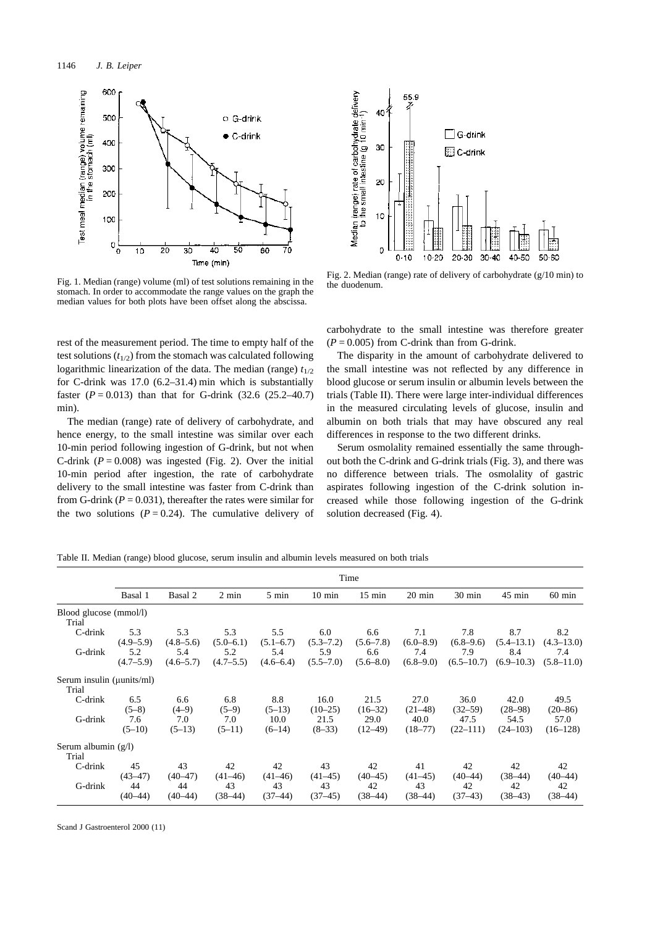

Fig. 1. Median (range) volume (ml) of test solutions remaining in the stomach. In order to accommodate the range values on the graph the median values for both plots have been offset along the abscissa.

rest of the measurement period. The time to empty half of the test solutions  $(t_{1/2})$  from the stomach was calculated following logarithmic linearization of the data. The median (range)  $t_{1/2}$ for C-drink was 17.0 (6.2–31.4) min which is substantially faster  $(P = 0.013)$  than that for G-drink  $(32.6 \ (25.2 - 40.7))$ min).

The median (range) rate of delivery of carbohydrate, and hence energy, to the small intestine was similar over each 10-min period following ingestion of G-drink, but not when C-drink  $(P = 0.008)$  was ingested (Fig. 2). Over the initial 10-min period after ingestion, the rate of carbohydrate delivery to the small intestine was faster from C-drink than from G-drink  $(P = 0.031)$ , thereafter the rates were similar for the two solutions  $(P = 0.24)$ . The cumulative delivery of



Fig. 2. Median (range) rate of delivery of carbohydrate (g/10 min) to the duodenum.

carbohydrate to the small intestine was therefore greater  $(P = 0.005)$  from C-drink than from G-drink.

The disparity in the amount of carbohydrate delivered to the small intestine was not reflected by any difference in blood glucose or serum insulin or albumin levels between the trials (Table II). There were large inter-individual differences in the measured circulating levels of glucose, insulin and albumin on both trials that may have obscured any real differences in response to the two different drinks.

Serum osmolality remained essentially the same throughout both the C-drink and G-drink trials (Fig. 3), and there was no difference between trials. The osmolality of gastric aspirates following ingestion of the C-drink solution increased while those following ingestion of the G-drink solution decreased (Fig. 4).

Table II. Median (range) blood glucose, serum insulin and albumin levels measured on both trials

|                                             | Time                                       |                                              |                                            |                                              |                                              |                                              |                                              |                                               |                                                |                                                |
|---------------------------------------------|--------------------------------------------|----------------------------------------------|--------------------------------------------|----------------------------------------------|----------------------------------------------|----------------------------------------------|----------------------------------------------|-----------------------------------------------|------------------------------------------------|------------------------------------------------|
|                                             | Basal 1                                    | Basal 2                                      | $2 \text{ min}$                            | $5 \text{ min}$                              | $10 \text{ min}$                             | $15 \text{ min}$                             | $20 \text{ min}$                             | $30 \text{ min}$                              | $45 \text{ min}$                               | $60 \text{ min}$                               |
| Blood glucose (mmol/l)<br>Trial             |                                            |                                              |                                            |                                              |                                              |                                              |                                              |                                               |                                                |                                                |
| C-drink<br>G-drink                          | 5.3<br>$(4.9 - 5.9)$<br>5.2<br>$(4.7-5.9)$ | 5.3<br>$(4.8 - 5.6)$<br>5.4<br>$(4.6 - 5.7)$ | 5.3<br>$(5.0-6.1)$<br>5.2<br>$(4.7 - 5.5)$ | 5.5<br>$(5.1 - 6.7)$<br>5.4<br>$(4.6 - 6.4)$ | 6.0<br>$(5.3 - 7.2)$<br>5.9<br>$(5.5 - 7.0)$ | 6.6<br>$(5.6 - 7.8)$<br>6.6<br>$(5.6 - 8.0)$ | 7.1<br>$(6.0 - 8.9)$<br>7.4<br>$(6.8 - 9.0)$ | 7.8<br>$(6.8 - 9.6)$<br>7.9<br>$(6.5 - 10.7)$ | 8.7<br>$(5.4 - 13.1)$<br>8.4<br>$(6.9 - 10.3)$ | 8.2<br>$(4.3 - 13.0)$<br>7.4<br>$(5.8 - 11.0)$ |
| Serum insulin ( <i>µunits/ml</i> )<br>Trial |                                            |                                              |                                            |                                              |                                              |                                              |                                              |                                               |                                                |                                                |
| C-drink                                     | 6.5<br>$(5-8)$                             | 6.6<br>$(4-9)$                               | 6.8<br>$(5-9)$                             | 8.8<br>$(5-13)$                              | 16.0<br>$(10-25)$                            | 21.5<br>$(16-32)$                            | 27.0<br>$(21-48)$                            | 36.0<br>$(32 - 59)$                           | 42.0<br>$(28-98)$                              | 49.5<br>$(20 - 86)$                            |
| G-drink                                     | 7.6<br>$(5-10)$                            | 7.0<br>$(5-13)$                              | 7.0<br>$(5-11)$                            | 10.0<br>$(6-14)$                             | 21.5<br>$(8-33)$                             | 29.0<br>$(12-49)$                            | 40.0<br>(18–77)                              | 47.5<br>$(22-111)$                            | 54.5<br>$(24 - 103)$                           | 57.0<br>$(16-128)$                             |
| Serum albumin $(g/l)$<br>Trial              |                                            |                                              |                                            |                                              |                                              |                                              |                                              |                                               |                                                |                                                |
| $C$ -drink<br>G-drink                       | 45<br>$(43 - 47)$<br>44                    | 43<br>$(40 - 47)$<br>44                      | 42<br>$(41-46)$<br>43                      | 42<br>$(41-46)$<br>43                        | 43<br>$(41-45)$<br>43                        | 42<br>$(40-45)$<br>42                        | 41<br>$(41-45)$<br>43                        | 42<br>$(40-44)$<br>42                         | 42<br>$(38-44)$<br>42                          | 42<br>$(40-44)$<br>42                          |
|                                             | $(40-44)$                                  | $(40-44)$                                    | $(38-44)$                                  | $(37-44)$                                    | $(37-45)$                                    | $(38-44)$                                    | $(38-44)$                                    | $(37-43)$                                     | $(38-43)$                                      | $(38-44)$                                      |

Scand J Gastroenterol 2000 (11)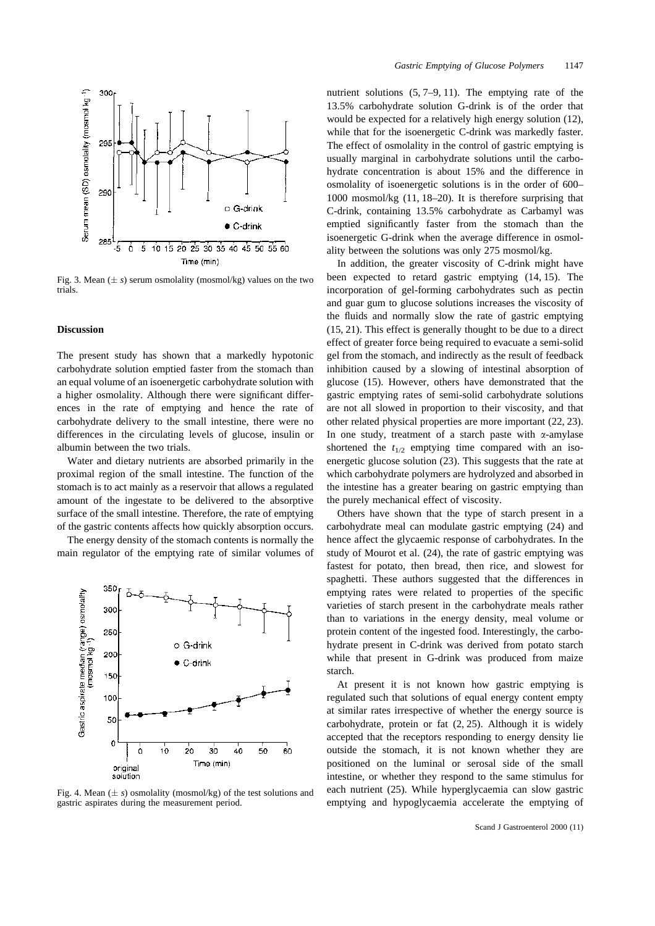

Fig. 3. Mean  $(\pm s)$  serum osmolality (mosmol/kg) values on the two trials.

#### **Discussion**

The present study has shown that a markedly hypotonic carbohydrate solution emptied faster from the stomach than an equal volume of an isoenergetic carbohydrate solution with a higher osmolality. Although there were significant differences in the rate of emptying and hence the rate of carbohydrate delivery to the small intestine, there were no differences in the circulating levels of glucose, insulin or albumin between the two trials.

Water and dietary nutrients are absorbed primarily in the proximal region of the small intestine. The function of the stomach is to act mainly as a reservoir that allows a regulated amount of the ingestate to be delivered to the absorptive surface of the small intestine. Therefore, the rate of emptying of the gastric contents affects how quickly absorption occurs.

The energy density of the stomach contents is normally the main regulator of the emptying rate of similar volumes of



Fig. 4. Mean  $(\pm s)$  osmolality (mosmol/kg) of the test solutions and gastric aspirates during the measurement period.

nutrient solutions (5, 7–9, 11). The emptying rate of the 13.5% carbohydrate solution G-drink is of the order that would be expected for a relatively high energy solution (12), while that for the isoenergetic C-drink was markedly faster. The effect of osmolality in the control of gastric emptying is usually marginal in carbohydrate solutions until the carbohydrate concentration is about 15% and the difference in osmolality of isoenergetic solutions is in the order of 600– 1000 mosmol/kg (11, 18–20). It is therefore surprising that C-drink, containing 13.5% carbohydrate as Carbamyl was emptied significantly faster from the stomach than the isoenergetic G-drink when the average difference in osmolality between the solutions was only 275 mosmol/kg.

In addition, the greater viscosity of C-drink might have been expected to retard gastric emptying (14, 15). The incorporation of gel-forming carbohydrates such as pectin and guar gum to glucose solutions increases the viscosity of the fluids and normally slow the rate of gastric emptying (15, 21). This effect is generally thought to be due to a direct effect of greater force being required to evacuate a semi-solid gel from the stomach, and indirectly as the result of feedback inhibition caused by a slowing of intestinal absorption of glucose (15). However, others have demonstrated that the gastric emptying rates of semi-solid carbohydrate solutions are not all slowed in proportion to their viscosity, and that other related physical properties are more important (22, 23). In one study, treatment of a starch paste with  $\alpha$ -amylase shortened the  $t_{1/2}$  emptying time compared with an isoenergetic glucose solution (23). This suggests that the rate at which carbohydrate polymers are hydrolyzed and absorbed in the intestine has a greater bearing on gastric emptying than the purely mechanical effect of viscosity.

Others have shown that the type of starch present in a carbohydrate meal can modulate gastric emptying (24) and hence affect the glycaemic response of carbohydrates. In the study of Mourot et al. (24), the rate of gastric emptying was fastest for potato, then bread, then rice, and slowest for spaghetti. These authors suggested that the differences in emptying rates were related to properties of the specific varieties of starch present in the carbohydrate meals rather than to variations in the energy density, meal volume or protein content of the ingested food. Interestingly, the carbohydrate present in C-drink was derived from potato starch while that present in G-drink was produced from maize starch.

At present it is not known how gastric emptying is regulated such that solutions of equal energy content empty at similar rates irrespective of whether the energy source is carbohydrate, protein or fat (2, 25). Although it is widely accepted that the receptors responding to energy density lie outside the stomach, it is not known whether they are positioned on the luminal or serosal side of the small intestine, or whether they respond to the same stimulus for each nutrient (25). While hyperglycaemia can slow gastric emptying and hypoglycaemia accelerate the emptying of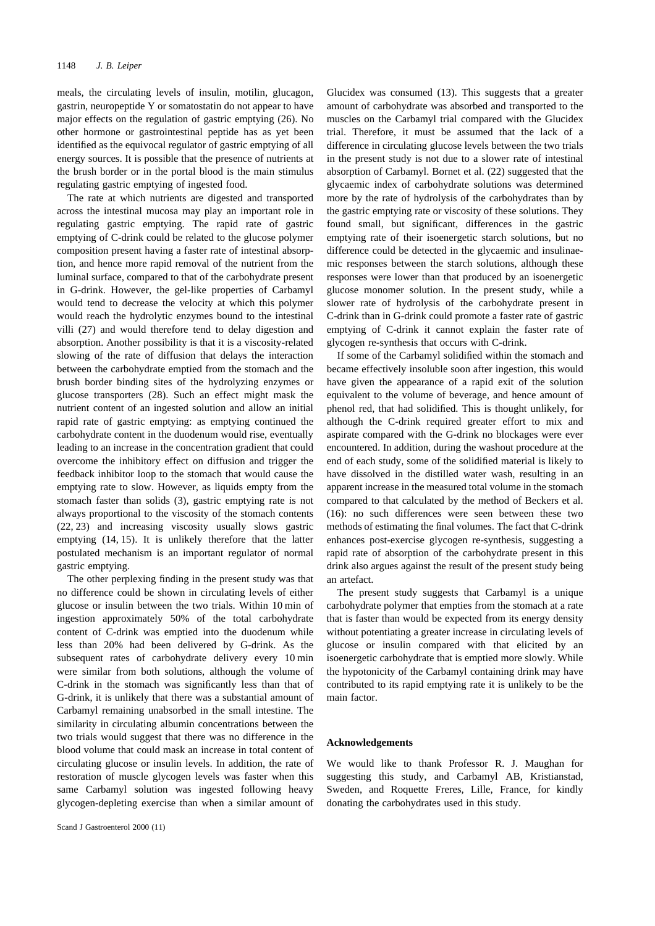meals, the circulating levels of insulin, motilin, glucagon, gastrin, neuropeptide Y or somatostatin do not appear to have major effects on the regulation of gastric emptying (26). No other hormone or gastrointestinal peptide has as yet been identified as the equivocal regulator of gastric emptying of all energy sources. It is possible that the presence of nutrients at the brush border or in the portal blood is the main stimulus regulating gastric emptying of ingested food.

The rate at which nutrients are digested and transported across the intestinal mucosa may play an important role in regulating gastric emptying. The rapid rate of gastric emptying of C-drink could be related to the glucose polymer composition present having a faster rate of intestinal absorption, and hence more rapid removal of the nutrient from the luminal surface, compared to that of the carbohydrate present in G-drink. However, the gel-like properties of Carbamyl would tend to decrease the velocity at which this polymer would reach the hydrolytic enzymes bound to the intestinal villi (27) and would therefore tend to delay digestion and absorption. Another possibility is that it is a viscosity-related slowing of the rate of diffusion that delays the interaction between the carbohydrate emptied from the stomach and the brush border binding sites of the hydrolyzing enzymes or glucose transporters (28). Such an effect might mask the nutrient content of an ingested solution and allow an initial rapid rate of gastric emptying: as emptying continued the carbohydrate content in the duodenum would rise, eventually leading to an increase in the concentration gradient that could overcome the inhibitory effect on diffusion and trigger the feedback inhibitor loop to the stomach that would cause the emptying rate to slow. However, as liquids empty from the stomach faster than solids (3), gastric emptying rate is not always proportional to the viscosity of the stomach contents (22, 23) and increasing viscosity usually slows gastric emptying (14, 15). It is unlikely therefore that the latter postulated mechanism is an important regulator of normal gastric emptying.

The other perplexing finding in the present study was that no difference could be shown in circulating levels of either glucose or insulin between the two trials. Within 10 min of ingestion approximately 50% of the total carbohydrate content of C-drink was emptied into the duodenum while less than 20% had been delivered by G-drink. As the subsequent rates of carbohydrate delivery every 10 min were similar from both solutions, although the volume of C-drink in the stomach was significantly less than that of G-drink, it is unlikely that there was a substantial amount of Carbamyl remaining unabsorbed in the small intestine. The similarity in circulating albumin concentrations between the two trials would suggest that there was no difference in the blood volume that could mask an increase in total content of circulating glucose or insulin levels. In addition, the rate of restoration of muscle glycogen levels was faster when this same Carbamyl solution was ingested following heavy glycogen-depleting exercise than when a similar amount of

Glucidex was consumed (13). This suggests that a greater amount of carbohydrate was absorbed and transported to the muscles on the Carbamyl trial compared with the Glucidex trial. Therefore, it must be assumed that the lack of a difference in circulating glucose levels between the two trials in the present study is not due to a slower rate of intestinal absorption of Carbamyl. Bornet et al. (22) suggested that the glycaemic index of carbohydrate solutions was determined more by the rate of hydrolysis of the carbohydrates than by the gastric emptying rate or viscosity of these solutions. They found small, but significant, differences in the gastric emptying rate of their isoenergetic starch solutions, but no difference could be detected in the glycaemic and insulinaemic responses between the starch solutions, although these responses were lower than that produced by an isoenergetic glucose monomer solution. In the present study, while a slower rate of hydrolysis of the carbohydrate present in C-drink than in G-drink could promote a faster rate of gastric emptying of C-drink it cannot explain the faster rate of glycogen re-synthesis that occurs with C-drink.

If some of the Carbamyl solidified within the stomach and became effectively insoluble soon after ingestion, this would have given the appearance of a rapid exit of the solution equivalent to the volume of beverage, and hence amount of phenol red, that had solidified. This is thought unlikely, for although the C-drink required greater effort to mix and aspirate compared with the G-drink no blockages were ever encountered. In addition, during the washout procedure at the end of each study, some of the solidified material is likely to have dissolved in the distilled water wash, resulting in an apparent increase in the measured total volume in the stomach compared to that calculated by the method of Beckers et al. (16): no such differences were seen between these two methods of estimating the final volumes. The fact that C-drink enhances post-exercise glycogen re-synthesis, suggesting a rapid rate of absorption of the carbohydrate present in this drink also argues against the result of the present study being an artefact.

The present study suggests that Carbamyl is a unique carbohydrate polymer that empties from the stomach at a rate that is faster than would be expected from its energy density without potentiating a greater increase in circulating levels of glucose or insulin compared with that elicited by an isoenergetic carbohydrate that is emptied more slowly. While the hypotonicity of the Carbamyl containing drink may have contributed to its rapid emptying rate it is unlikely to be the main factor.

#### **Acknowledgements**

We would like to thank Professor R. J. Maughan for suggesting this study, and Carbamyl AB, Kristianstad, Sweden, and Roquette Freres, Lille, France, for kindly donating the carbohydrates used in this study.